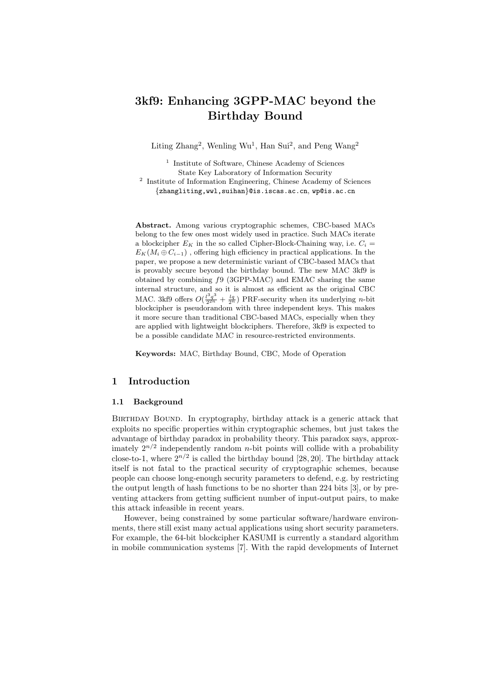# **3kf9: Enhancing 3GPP-MAC beyond the Birthday Bound**

Liting  $\text{Zhang}^2$ , Wenling Wu<sup>1</sup>, Han Sui<sup>2</sup>, and Peng Wang<sup>2</sup>

<sup>1</sup> Institute of Software, Chinese Academy of Sciences State Key Laboratory of Information Security <sup>2</sup> Institute of Information Engineering, Chinese Academy of Sciences *{*zhangliting,wwl,suihan*}*@is.iscas.ac.cn, wp@is.ac.cn

**Abstract.** Among various cryptographic schemes, CBC-based MACs belong to the few ones most widely used in practice. Such MACs iterate a blockcipher  $E_K$  in the so called Cipher-Block-Chaining way, i.e.  $C_i$  $E_K(M_i \oplus C_{i-1})$ , offering high efficiency in practical applications. In the paper, we propose a new deterministic variant of CBC-based MACs that is provably secure beyond the birthday bound. The new MAC 3kf9 is obtained by combining *f*9 (3GPP-MAC) and EMAC sharing the same internal structure, and so it is almost as efficient as the original CBC MAC. 3kf9 offers  $O(\frac{l^3q^3}{2^{2n}} + \frac{lq}{2^n})$  PRF-security when its underlying *n*-bit blockcipher is pseudorandom with three independent keys. This makes it more secure than traditional CBC-based MACs, especially when they are applied with lightweight blockciphers. Therefore, 3kf9 is expected to be a possible candidate MAC in resource-restricted environments.

**Keywords:** MAC, Birthday Bound, CBC, Mode of Operation

## **1 Introduction**

## **1.1 Background**

BIRTHDAY BOUND. In cryptography, birthday attack is a generic attack that exploits no specific properties within cryptographic schemes, but just takes the advantage of birthday paradox in probability theory. This paradox says, approximately  $2^{n/2}$  independently random *n*-bit points will collide with a probability close-to-1, where  $2^{n/2}$  is called the birthday bound [28, 20]. The birthday attack itself is not fatal to the practical security of cryptographic schemes, because people can choose long-enough security parameters to defend, e.g. by restricting the output length of hash functions to be no shorter than 224 bits [3], or by preventing attackers from getting sufficient number of input-output pairs, to make this attack infeasible in recent years.

However, being constrained by some particular software/hardware environments, there still exist many actual applications using short security parameters. For example, the 64-bit blockcipher KASUMI is currently a standard algorithm in mobile communication systems [7]. With the rapid developments of Internet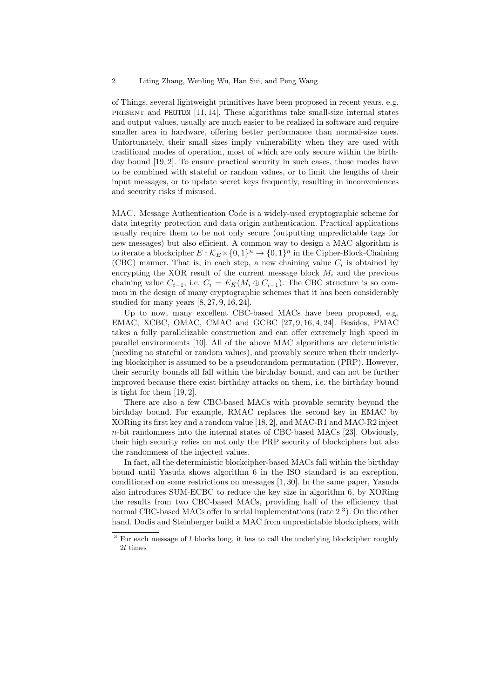of Things, several lightweight primitives have been proposed in recent years, e.g. present and PHOTON [11, 14]. These algorithms take small-size internal states and output values, usually are much easier to be realized in software and require smaller area in hardware, offering better performance than normal-size ones. Unfortunately, their small sizes imply vulnerability when they are used with traditional modes of operation, most of which are only secure within the birthday bound [19, 2]. To ensure practical security in such cases, those modes have to be combined with stateful or random values, or to limit the lengths of their input messages, or to update secret keys frequently, resulting in inconveniences and security risks if misused.

MAC. Message Authentication Code is a widely-used cryptographic scheme for data integrity protection and data origin authentication. Practical applications usually require them to be not only secure (outputting unpredictable tags for new messages) but also efficient. A common way to design a MAC algorithm is to iterate a blockcipher  $E : \mathcal{K}_E \times \{0,1\}^n \to \{0,1\}^n$  in the Cipher-Block-Chaining (CBC) manner. That is, in each step, a new chaining value  $C_i$  is obtained by encrypting the XOR result of the current message block  $M_i$  and the previous chaining value  $C_{i-1}$ , i.e.  $C_i = E_K(M_i \oplus C_{i-1})$ . The CBC structure is so common in the design of many cryptographic schemes that it has been considerably studied for many years [8, 27, 9, 16, 24].

Up to now, many excellent CBC-based MACs have been proposed, e.g. EMAC, XCBC, OMAC, CMAC and GCBC [27, 9, 16, 4, 24]. Besides, PMAC takes a fully parallelizable construction and can offer extremely high speed in parallel environments [10]. All of the above MAC algorithms are deterministic (needing no stateful or random values), and provably secure when their underlying blockcipher is assumed to be a pseudorandom permutation (PRP). However, their security bounds all fall within the birthday bound, and can not be further improved because there exist birthday attacks on them, i.e. the birthday bound is tight for them [19, 2].

There are also a few CBC-based MACs with provable security beyond the birthday bound. For example, RMAC replaces the second key in EMAC by XORing its first key and a random value [18, 2], and MAC-R1 and MAC-R2 inject *n*-bit randomness into the internal states of CBC-based MACs [23]. Obviously, their high security relies on not only the PRP security of blockciphers but also the randomness of the injected values.

In fact, all the deterministic blockcipher-based MACs fall within the birthday bound until Yasuda shows algorithm 6 in the ISO standard is an exception, conditioned on some restrictions on messages [1, 30]. In the same paper, Yasuda also introduces SUM-ECBC to reduce the key size in algorithm 6, by XORing the results from two CBC-based MACs, providing half of the efficiency that normal CBC-based MACs offer in serial implementations (rate  $2<sup>3</sup>$ ). On the other hand, Dodis and Steinberger build a MAC from unpredictable blockciphers, with

<sup>&</sup>lt;sup>3</sup> For each message of *l* blocks long, it has to call the underlying blockcipher roughly 2*l* times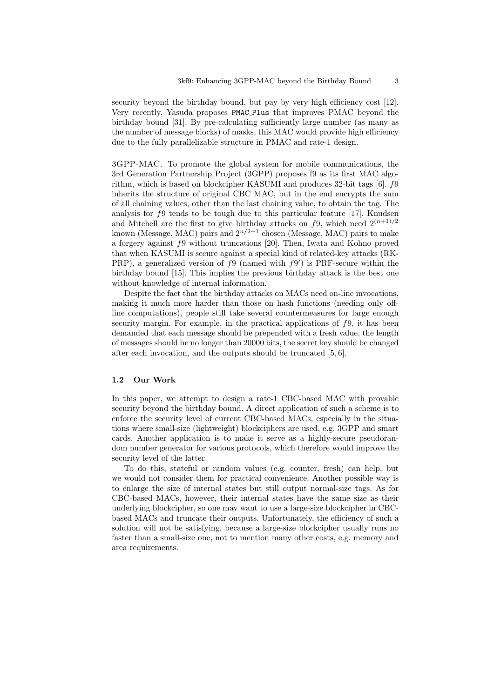security beyond the birthday bound, but pay by very high efficiency cost [12]. Very recently, Yasuda proposes PMAC Plus that improves PMAC beyond the birthday bound [31]. By pre-calculating sufficiently large number (as many as the number of message blocks) of masks, this MAC would provide high efficiency due to the fully parallelizable structure in PMAC and rate-1 design.

3GPP-MAC. To promote the global system for mobile communications, the 3rd Generation Partnership Project (3GPP) proposes f9 as its first MAC algorithm, which is based on blockcipher KASUMI and produces 32-bit tags [6]. *f*9 inherits the structure of original CBC MAC, but in the end encrypts the sum of all chaining values, other than the last chaining value, to obtain the tag. The analysis for *f*9 tends to be tough due to this particular feature [17]. Knudsen and Mitchell are the first to give birthday attacks on  $f$ 9, which need  $2^{(n+1)/2}$ known (Message, MAC) pairs and  $2^{n/2+1}$  chosen (Message, MAC) pairs to make a forgery against *f*9 without truncations [20]. Then, Iwata and Kohno proved that when KASUMI is secure against a special kind of related-key attacks (RK-PRP), a generalized version of *f*9 (named with *f*9 *′* ) is PRF-secure within the birthday bound [15]. This implies the previous birthday attack is the best one without knowledge of internal information.

Despite the fact that the birthday attacks on MACs need on-line invocations, making it much more harder than those on hash functions (needing only offline computations), people still take several countermeasures for large enough security margin. For example, in the practical applications of *f*9, it has been demanded that each message should be prepended with a fresh value, the length of messages should be no longer than 20000 bits, the secret key should be changed after each invocation, and the outputs should be truncated [5, 6].

#### **1.2 Our Work**

In this paper, we attempt to design a rate-1 CBC-based MAC with provable security beyond the birthday bound. A direct application of such a scheme is to enforce the security level of current CBC-based MACs, especially in the situations where small-size (lightweight) blockciphers are used, e.g. 3GPP and smart cards. Another application is to make it serve as a highly-secure pseudorandom number generator for various protocols, which therefore would improve the security level of the latter.

To do this, stateful or random values (e.g. counter, fresh) can help, but we would not consider them for practical convenience. Another possible way is to enlarge the size of internal states but still output normal-size tags. As for CBC-based MACs, however, their internal states have the same size as their underlying blockcipher, so one may want to use a large-size blockcipher in CBCbased MACs and truncate their outputs. Unfortunately, the efficiency of such a solution will not be satisfying, because a large-size blockcipher usually runs no faster than a small-size one, not to mention many other costs, e.g. memory and area requirements.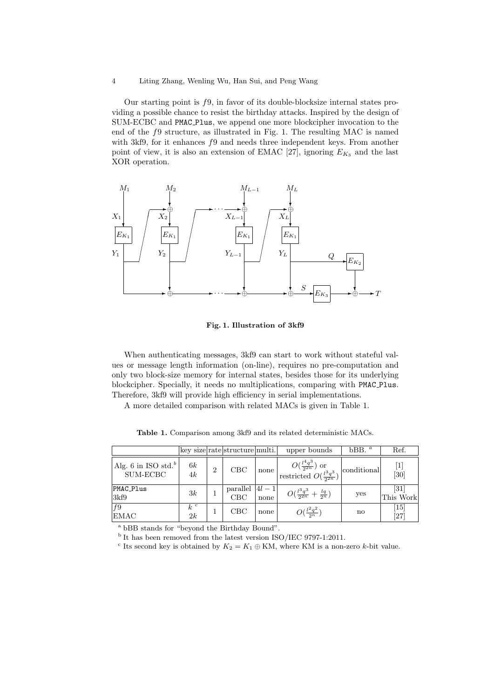Our starting point is *f*9, in favor of its double-blocksize internal states providing a possible chance to resist the birthday attacks. Inspired by the design of SUM-ECBC and PMAC Plus, we append one more blockcipher invocation to the end of the *f*9 structure, as illustrated in Fig. 1. The resulting MAC is named with 3kf9, for it enhances *f*9 and needs three independent keys. From another point of view, it is also an extension of EMAC [27], ignoring  $E_{K_3}$  and the last XOR operation.



**Fig. 1. Illustration of 3kf9**

When authenticating messages, 3kf9 can start to work without stateful values or message length information (on-line), requires no pre-computation and only two block-size memory for internal states, besides those for its underlying blockcipher. Specially, it needs no multiplications, comparing with PMAC Plus. Therefore, 3kf9 will provide high efficiency in serial implementations.

A more detailed comparison with related MACs is given in Table 1.

|                                             |             |                | key size rate structure multi. |                  | upper bounds                                                           | $bBB.$ <sup>a</sup> | Ref.                                                                                                                                                                                                                                                       |
|---------------------------------------------|-------------|----------------|--------------------------------|------------------|------------------------------------------------------------------------|---------------------|------------------------------------------------------------------------------------------------------------------------------------------------------------------------------------------------------------------------------------------------------------|
| Alg. 6 in ISO std. <sup>b</sup><br>SUM-ECBC | 6k<br>4k    | $\overline{2}$ | CBC                            | none             | $O(\frac{l^4q^3}{2^{2n}})$ or<br>restricted $O(\frac{l^3q^3}{2^{2n}})$ | conditional         | $[1] % \includegraphics[width=0.9\columnwidth]{figures/fig_10.pdf} \caption{The graph $\mathcal{N}_1$ is a function of the number of~\textit{N}_1$ (left) and the number of~\textit{N}_2$ (right) are shown in \cite{N}_1$ (right).} \label{fig:1}$<br> 30 |
| PMAC_Plus<br>3kf9                           | 3k          |                | $\frac{parallel}{CBC}$         | $ 4l-1 $<br>none | $O(\frac{l^3q^3}{22n}+\frac{lq}{2n})$                                  | yes                 | $\left[31\right]$<br>This Work                                                                                                                                                                                                                             |
| f9<br><b>EMAC</b>                           | $k^c$<br>2k |                | CBC                            | none             | $O(\frac{l^2q^2}{2n})$                                                 | $\mathbf{n}$        | $\left\lceil 15 \right\rceil$<br>$[27]$                                                                                                                                                                                                                    |

**Table 1.** Comparison among 3kf9 and its related deterministic MACs.

<sup>a</sup> bBB stands for "beyond the Birthday Bound".

<sup>b</sup> It has been removed from the latest version ISO/IEC 9797-1:2011.

<sup>c</sup> Its second key is obtained by  $K_2 = K_1 \oplus KM$ , where KM is a non-zero *k*-bit value.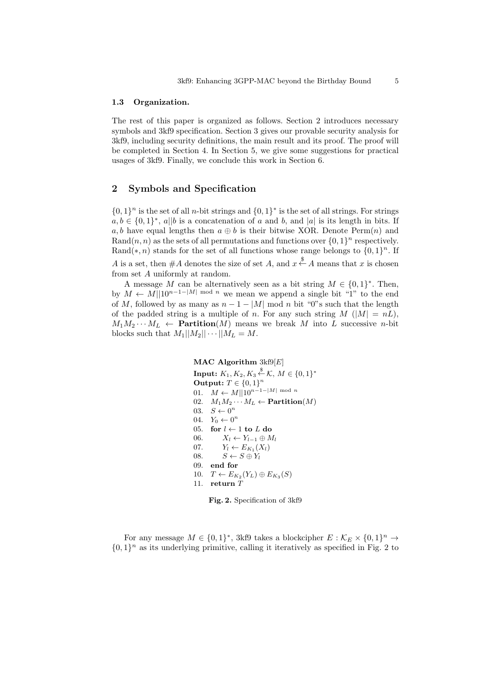#### **1.3 Organization.**

The rest of this paper is organized as follows. Section 2 introduces necessary symbols and 3kf9 specification. Section 3 gives our provable security analysis for 3kf9, including security definitions, the main result and its proof. The proof will be completed in Section 4. In Section 5, we give some suggestions for practical usages of 3kf9. Finally, we conclude this work in Section 6.

## **2 Symbols and Specification**

 $\{0,1\}$ <sup>n</sup> is the set of all *n*-bit strings and  $\{0,1\}$ <sup>\*</sup> is the set of all strings. For strings  $a, b \in \{0, 1\}^*,$  *a*<sup>|</sup>|*b* is a concatenation of *a* and *b*, and *|a|* is its length in bits. If *a, b* have equal lengths then  $a \oplus b$  is their bitwise XOR. Denote Perm $(n)$  and Rand $(n, n)$  as the sets of all permutations and functions over  $\{0, 1\}^n$  respectively. Rand(\*, n) stands for the set of all functions whose range belongs to  $\{0,1\}$ <sup>n</sup>. If *A* is a set, then  $#A$  denotes the size of set *A*, and  $x \stackrel{\$}{\leftarrow} A$  means that *x* is chosen from set *A* uniformly at random.

A message *M* can be alternatively seen as a bit string  $M \in \{0,1\}^*$ . Then, by  $M \leftarrow M||10^{n-1-|M|}$  mod *n* we mean we append a single bit "1" to the end of *M*, followed by as many as  $n-1-|M|$  mod *n* bit "0"s such that the length of the padded string is a multiple of *n*. For any such string  $M(|M| = nL)$ ,  $M_1M_2 \cdots M_L \leftarrow$  **Partition**(*M*) means we break *M* into *L* successive *n*-bit blocks such that  $M_1||M_2||\cdots||M_L = M$ .

## **MAC Algorithm** 3kf9[*E*]

 $\mathbf{Input:} \ K_1, K_2, K_3 \overset{\$}{\leftarrow} \mathcal{K}, \ M \in \{0,1\}^*$ **Output:**  $T ∈ {0, 1}^n$ 01.  $M \leftarrow M||10^{n-1-|M|}$  mod *n* 02.  $M_1M_2\cdots M_L \leftarrow$  **Partition**(*M*) 03.  $S \leftarrow 0^n$ 04.  $Y_0 \leftarrow 0^n$ 05. **for**  $l \leftarrow 1$  **to**  $L$  **do** 06.  $X_l \leftarrow Y_{l-1} \oplus M_l$ <br>07.  $Y_l \leftarrow E_{K_l}(X_l)$ 07.  $Y_l \leftarrow E_{K_1}(X_l)$ 08.  $S \leftarrow S \oplus Y_l$ 09. **end for** 10. *T* ←  $E_{K_2}(Y_L) \oplus E_{K_3}(S)$ 11. **return** *T*



For any message  $M \in \{0,1\}^*$ , 3kf9 takes a blockcipher  $E : \mathcal{K}_E \times \{0,1\}^n \to$  $\{0,1\}$ <sup>n</sup> as its underlying primitive, calling it iteratively as specified in Fig. 2 to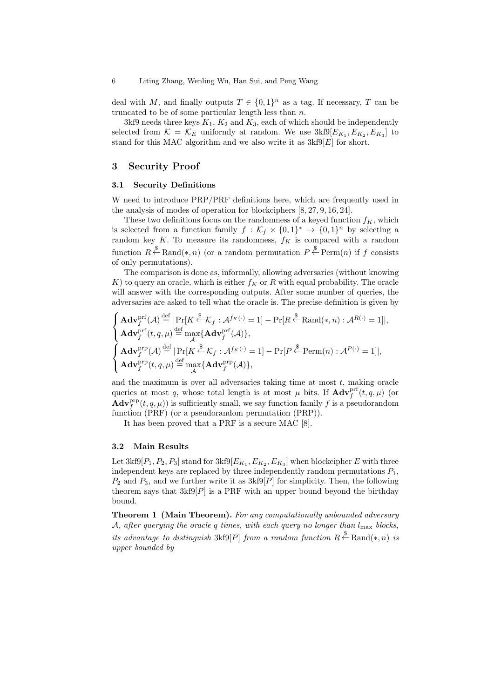deal with *M*, and finally outputs  $T \in \{0,1\}^n$  as a tag. If necessary, *T* can be truncated to be of some particular length less than *n*.

3kf9 needs three keys  $K_1, K_2$  and  $K_3$ , each of which should be independently selected from  $K = \mathcal{K}_E$  uniformly at random. We use  $3kf9[E_{K_1}, E_{K_2}, E_{K_3}]$  to stand for this MAC algorithm and we also write it as 3kf9[*E*] for short.

## **3 Security Proof**

#### **3.1 Security Definitions**

W need to introduce PRP/PRF definitions here, which are frequently used in the analysis of modes of operation for blockciphers [8, 27, 9, 16, 24].

These two definitions focus on the randomness of a keyed function  $f_K$ , which is selected from a function family  $f : \mathcal{K}_f \times \{0,1\}^* \to \{0,1\}^n$  by selecting a random key  $K$ . To measure its randomness,  $f_K$  is compared with a random function  $R \stackrel{\$}{\leftarrow} \text{Rand}(*, n)$  (or a random permutation  $P \stackrel{\$}{\leftarrow} \text{Perm}(n)$  if *f* consists of only permutations).

The comparison is done as, informally, allowing adversaries (without knowing  $K$ ) to query an oracle, which is either  $f_K$  or  $R$  with equal probability. The oracle will answer with the corresponding outputs. After some number of queries, the adversaries are asked to tell what the oracle is. The precise definition is given by

$$
\begin{cases}\n\mathbf{Adv}^{\text{prf}}_{f}(\mathcal{A}) \stackrel{\text{def}}{=} |\Pr[K \stackrel{\$}{\leftarrow} \mathcal{K}_{f} : \mathcal{A}^{f_{K}(\cdot)} = 1] - \Pr[R \stackrel{\$}{\leftarrow} \text{Rand}(*, n) : \mathcal{A}^{R(\cdot)} = 1]|, \\
\mathbf{Adv}^{\text{prf}}_{f}(t, q, \mu) \stackrel{\text{def}}{=} \max_{\mathcal{A}} \{\mathbf{Adv}^{\text{prf}}_{f}(\mathcal{A})\}, \\
\mathbf{Adv}^{\text{prp}}_{f}(\mathcal{A}) \stackrel{\text{def}}{=} |\Pr[K \stackrel{\$}{\leftarrow} \mathcal{K}_{f} : \mathcal{A}^{f_{K}(\cdot)} = 1] - \Pr[P \stackrel{\$}{\leftarrow} \text{Perm}(n) : \mathcal{A}^{P(\cdot)} = 1]|, \\
\mathbf{Adv}^{\text{prp}}_{f}(t, q, \mu) \stackrel{\text{def}}{=} \max_{\mathcal{A}} \{\mathbf{Adv}^{\text{prp}}_{f}(\mathcal{A})\},\n\end{cases}
$$

and the maximum is over all adversaries taking time at most *t*, making oracle queries at most *q*, whose total length is at most  $\mu$  bits. If  $\mathbf{Adv}^{\text{prf}}_f(t, q, \mu)$  (or  $\mathbf{Adv}_{f}^{\text{prp}}(t, q, \mu)$  is sufficiently small, we say function family f is a pseudorandom function (PRF) (or a pseudorandom permutation (PRP)).

It has been proved that a PRF is a secure MAC [8].

#### **3.2 Main Results**

Let  $3kf9[P_1, P_2, P_3]$  stand for  $3kf9[E_{K_1}, E_{K_2}, E_{K_3}]$  when blockcipher  $E$  with three independent keys are replaced by three independently random permutations  $P_1$ , *P*<sup>2</sup> and *P*3, and we further write it as 3kf9[*P*] for simplicity. Then, the following theorem says that  $3kf9[P]$  is a PRF with an upper bound beyond the birthday bound.

**Theorem 1 (Main Theorem).** *For any computationally unbounded adversary A, after querying the oracle q times, with each query no longer than l*max *blocks, its advantage to distinguish*  $3kf9[P]$  *from a random function*  $R \stackrel{\$}{\leftarrow} \text{Rand}(*, n)$  *is upper bounded by*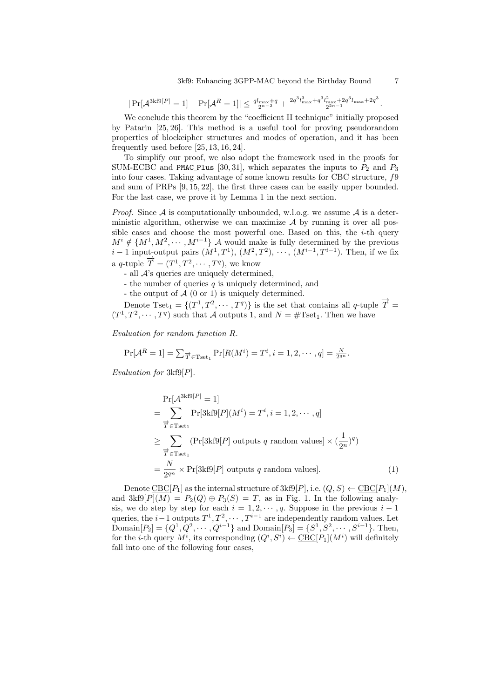$|\Pr[\mathcal{A}^{3k f 9[P]} = 1] - \Pr[\mathcal{A}^R = 1]| \leq \frac{q l_{\max} + q}{2^{n-2}} + \frac{2q^3 l_{\max}^3 + q^3 l_{\max}^2 + 2q^3 l_{\max} + 2q^3}{2^{2n-1}}$  $rac{\max + 2q}{2^{2n-1}}$  *i*<sub>max</sub> + 2*y*<sub>1</sub>.

We conclude this theorem by the "coefficient H technique" initially proposed by Patarin [25, 26]. This method is a useful tool for proving pseudorandom properties of blockcipher structures and modes of operation, and it has been frequently used before [25, 13, 16, 24].

To simplify our proof, we also adopt the framework used in the proofs for SUM-ECBC and PMAC Plus [30, 31], which separates the inputs to  $P_2$  and  $P_3$ into four cases. Taking advantage of some known results for CBC structure, *f*9 and sum of PRPs [9, 15, 22], the first three cases can be easily upper bounded. For the last case, we prove it by Lemma 1 in the next section.

*Proof.* Since  $A$  is computationally unbounded, w.l.o.g. we assume  $A$  is a deterministic algorithm, otherwise we can maximize *A* by running it over all possible cases and choose the most powerful one. Based on this, the *i*-th query  $M^{i} \notin \{M^{1}, M^{2}, \cdots, M^{i-1}\}\$  *A* would make is fully determined by the previous  $i-1$  input-output pairs  $(M^1, T^1)$ ,  $(M^2, T^2)$ ,  $\cdots$ ,  $(M^{i-1}, T^{i-1})$ . Then, if we fix  $\overrightarrow{T} = (T^1, T^2, \cdots, T^q)$ , we know

- all *A*'s queries are uniquely determined,

- the number of queries *q* is uniquely determined, and

- the output of *A* (0 or 1) is uniquely determined.

Denote Tset<sub>1</sub> =  $\{(T^1, T^2, \dots, T^q)\}$  is the set that contains all *q*-tuple  $\overrightarrow{T}$  =  $(T^1, T^2, \dots, T^q)$  such that *A* outputs 1, and  $N = \text{\#Tset}_1$ . Then we have

*Evaluation for random function R.*

$$
\Pr[\mathcal{A}^R = 1] = \sum_{\overrightarrow{T} \in \text{Test}_1} \Pr[R(M^i) = T^i, i = 1, 2, \cdots, q] = \frac{N}{2^{qn}}.
$$

*Evaluation for* 3kf9[*P*]*.*

$$
\Pr[\mathcal{A}^{3k\mathfrak{B}[P]} = 1]
$$
  
= 
$$
\sum_{\overrightarrow{T} \in \text{Test}_1} \Pr[3k\mathfrak{B}[P](M^i) = T^i, i = 1, 2, \cdots, q]
$$
  

$$
\geq \sum_{\overrightarrow{T} \in \text{Test}_1} (\Pr[3k\mathfrak{B}[P] \text{ outputs } q \text{ random values}] \times (\frac{1}{2^n})^q)
$$
  
= 
$$
\frac{N}{2^{qn}} \times \Pr[3k\mathfrak{B}[P] \text{ outputs } q \text{ random values}]. \tag{1}
$$

Denote  $\text{CBC}[P_1]$  as the internal structure of  $3kf9[P]$ , i.e.  $(Q, S) \leftarrow \text{CBC}[P_1](M)$ , and  $3kf9[P](M) = P_2(Q) \oplus P_3(S) = T$ , as in Fig. 1. In the following analysis, we do step by step for each  $i = 1, 2, \dots, q$ . Suppose in the previous  $i - 1$ queries, the *i* − 1 outputs  $T^1, T^2, \cdots, T^{i-1}$  are independently random values. Let Domain $[P_2] = \{Q^1, Q^2, \cdots, Q^{i-1}\}\$ and Domain $[P_3] = \{S^1, S^2, \cdots, S^{i-1}\}\$ . Then, for the *i*-th query  $M^i$ , its corresponding  $(Q^i, S^i) \leftarrow \underline{\text{CBC}}[P_1](M^i)$  will definitely fall into one of the following four cases,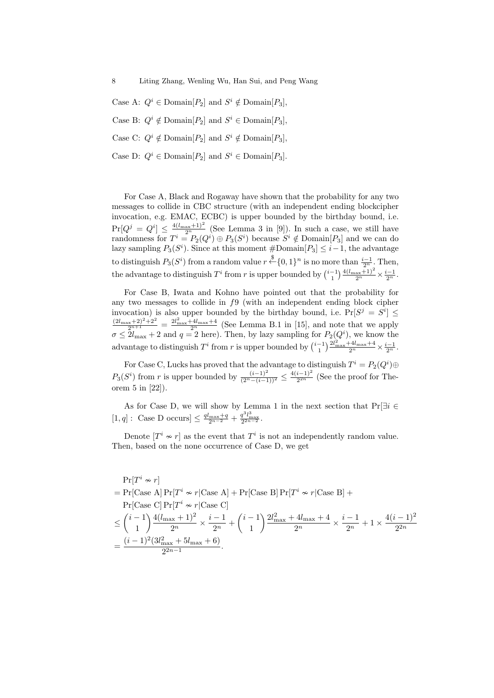Case A:  $Q^i \in \text{Domain}[P_2]$  and  $S^i \notin \text{Domain}[P_3]$ ,

Case B:  $Q^i \notin \text{Domain}[P_2]$  and  $S^i \in \text{Domain}[P_3]$ ,

Case C:  $Q^i \notin \text{Domain}[P_2]$  and  $S^i \notin \text{Domain}[P_3]$ ,

Case D:  $Q^i \in \text{Domain}[P_2]$  and  $S^i \in \text{Domain}[P_3]$ .

For Case A, Black and Rogaway have shown that the probability for any two messages to collide in CBC structure (with an independent ending blockcipher invocation, e.g. EMAC, ECBC) is upper bounded by the birthday bound, i.e.  $Pr[Q^j = Q^i] \leq \frac{4(l_{\text{max}}+1)^2}{2^n}$  (See Lemma 3 in [9]). In such a case, we still have randomness for  $T^i = P_2(Q^i) \oplus P_3(S^i)$  because  $S^i \notin \text{Domain}[P_3]$  and we can do lazy sampling  $P_3(S^i)$ . Since at this moment  $\#\text{Domain}[P_3] \leq i-1$ , the advantage to distinguish  $P_3(S^i)$  from a random value  $r \stackrel{\$}{\leftarrow} \{0,1\}^n$  is no more than  $\frac{i-1}{2^n}$ . Then, the advantage to distinguish  $T^i$  from  $r$  is upper bounded by  $\binom{i-1}{1} \frac{4(l_{\max}+1)^2}{2^n} \times \frac{i-1}{2^n}$ .

For Case B, Iwata and Kohno have pointed out that the probability for any two messages to collide in *f*9 (with an independent ending block cipher invocation) is also upper bounded by the birthday bound, i.e.  $Pr[S^j = S^i] \leq$  $\frac{(2l_{\max}+2)^2+2^2}{2^{n+1}}=\frac{2l_{\max}^2+4l_{\max}+4}{2^n}$  (See Lemma B.1 in [15], and note that we apply  $\sigma \leq 2l_{\text{max}} + 2$  and  $q = 2$  here). Then, by lazy sampling for  $P_2(Q^i)$ , we know the advantage to distinguish  $T^i$  from  $r$  is upper bounded by  $\binom{i-1}{1} \frac{2l_{\text{max}}^2 + 4l_{\text{max}} + 4}{2^n} \times \frac{i-1}{2^n}$ .

For Case C, Lucks has proved that the advantage to distinguish  $T^i = P_2(Q^i) \oplus$  $P_3(S^i)$  from *r* is upper bounded by  $\frac{(i-1)^2}{(2^n-(i-1))^2} \le \frac{4(i-1)^2}{2^{2n}}$  $\frac{i-1}{2^{2n}}$  (See the proof for Theorem 5 in [22]).

As for Case D, we will show by Lemma 1 in the next section that Pr[*∃i ∈*  $[1, q]$ : Case D occurs]  $\leq \frac{q_{\text{max}}+q}{2^{n-2}} + \frac{q^3 l_{\text{max}}^3}{2^{2n-2}}$ .

Denote  $[T^i \nsim r]$  as the event that  $T^i$  is not an independently random value. Then, based on the none occurrence of Case D, we get

$$
\Pr[T^i \sim r]
$$
  
=  $\Pr[\text{Case A}] \Pr[T^i \sim r | \text{Case A}] + \Pr[\text{Case B}] \Pr[T^i \sim r | \text{Case B}] +$   
 $\Pr[\text{Case C}] \Pr[T^i \sim r | \text{Case C}]$   
 $\leq {i-1 \choose 1} \frac{4(l_{\text{max}} + 1)^2}{2^n} \times \frac{i-1}{2^n} + {i-1 \choose 1} \frac{2l_{\text{max}}^2 + 4l_{\text{max}} + 4}{2^n} \times \frac{i-1}{2^n} + 1 \times \frac{4(i-1)^2}{2^{2n}}$   
 $= \frac{(i-1)^2(3l_{\text{max}}^2 + 5l_{\text{max}} + 6)}{2^{2n-1}}.$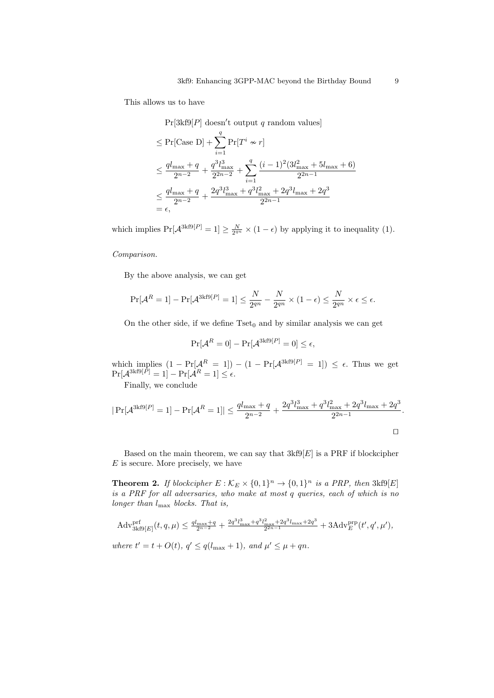This allows us to have

Pr[3kf9[*P*] doesn*′* t output *q* random values]

$$
\leq \Pr[\text{Case D}] + \sum_{i=1}^{q} \Pr[T^{i} \sim r]
$$
  
\n
$$
\leq \frac{q l_{\max} + q}{2^{n-2}} + \frac{q^{3} l_{\max}^{3}}{2^{2n-2}} + \sum_{i=1}^{q} \frac{(i-1)^{2} (3 l_{\max}^{2} + 5 l_{\max} + 6)}{2^{2n-1}}
$$
  
\n
$$
\leq \frac{q l_{\max} + q}{2^{n-2}} + \frac{2 q^{3} l_{\max}^{3} + q^{3} l_{\max}^{2} + 2 q^{3} l_{\max} + 2 q^{3}}{2^{2n-1}}
$$
  
\n
$$
= \epsilon,
$$

which implies  $Pr[\mathcal{A}^{3kf9[P]} = 1] \ge \frac{N}{2^{qn}} \times (1 - \epsilon)$  by applying it to inequality (1).

#### *Comparison.*

By the above analysis, we can get

$$
\Pr[\mathcal{A}^R = 1] - \Pr[\mathcal{A}^{3k \mathrm{f} 9[P]} = 1] \le \frac{N}{2^{qn}} - \frac{N}{2^{qn}} \times (1 - \epsilon) \le \frac{N}{2^{qn}} \times \epsilon \le \epsilon.
$$

On the other side, if we define  $Tset_0$  and by similar analysis we can get

$$
\Pr[\mathcal{A}^R = 0] - \Pr[\mathcal{A}^{3k \text{f}9[P]} = 0] \le \epsilon,
$$

which implies  $(1 - \Pr[A^R = 1]) - (1 - \Pr[A^{\text{3kf9}[P]} = 1]) \leq \epsilon$ . Thus we get  $\Pr[\mathcal{A}^{3\text{kf9}[P]}=1]-\Pr[\mathcal{A}^R=1]\leq \epsilon.$ 

Finally, we conclude

$$
|\Pr[\mathcal{A}^{3k\mathfrak{f}9[P]} = 1] - \Pr[\mathcal{A}^R = 1]| \le \frac{q l_{\max} + q}{2^{n-2}} + \frac{2q^3 l_{\max}^3 + q^3 l_{\max}^2 + 2q^3 l_{\max} + 2q^3}{2^{2n-1}}.
$$

Based on the main theorem, we can say that  $3kf9[E]$  is a PRF if blockcipher *E* is secure. More precisely, we have

**Theorem 2.** *If blockcipher*  $E : \mathcal{K}_E \times \{0,1\}^n \to \{0,1\}^n$  *is a PRP, then* 3kf9[*E*] *is a PRF for all adversaries, who make at most q queries, each of which is no longer than l*max *blocks. That is,*

$$
\begin{aligned} &\text{Adv}_{3\text{kf9}[E]}^{\text{prf}}(t,q,\mu) \le \frac{q l_{\text{max}} + q}{2^{n-2}} + \frac{2q^3 l_{\text{max}}^3 + q^3 l_{\text{max}}^2 + 2q^3 l_{\text{max}} + 2q^3}{2^{2n-1}} + 3 \text{Adv}_{E}^{\text{prp}}(t', q', \mu'),\\ &\text{where } t' = t + O(t), \, q' \le q(l_{\text{max}} + 1), \text{ and } \mu' \le \mu + qn. \end{aligned}
$$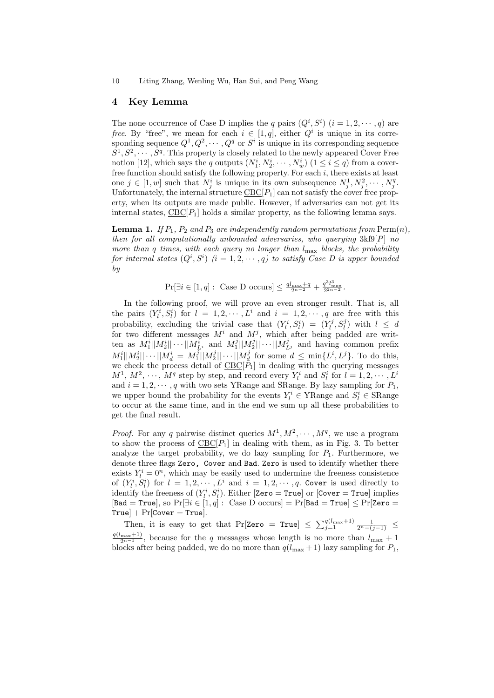## **4 Key Lemma**

The none occurrence of Case D implies the *q* pairs  $(Q^i, S^i)$   $(i = 1, 2, \dots, q)$  are *free.* By "free", we mean for each  $i \in [1, q]$ , either  $Q^i$  is unique in its corresponding sequence  $Q^1, Q^2, \cdots, Q^q$  or  $S^i$  is unique in its corresponding sequence  $S^1, S^2, \cdots, S^q$ . This property is closely related to the newly appeared Cover Free notion [12], which says the *q* outputs  $(N_1^i, N_2^i, \cdots, N_w^i)$  ( $1 \le i \le q$ ) from a coverfree function should satisfy the following property. For each *i*, there exists at least one  $j \in [1, w]$  such that  $N_j^i$  is unique in its own subsequence  $N_j^1, N_j^2, \cdots, N_j^q$ . Unfortunately, the internal structure  $\underline{\text{CBC}}[P_1]$  can not satisfy the cover free property, when its outputs are made public. However, if adversaries can not get its internal states,  $\underline{\text{CBC}}[P_1]$  holds a similar property, as the following lemma says.

**Lemma 1.** If  $P_1$ ,  $P_2$  and  $P_3$  are independently random permutations from  $\text{Perm}(n)$ , *then for all computationally unbounded adversaries, who querying* 3kf9[*P*] *no more than q times, with each query no longer than l*max *blocks, the probability for internal states*  $(Q^i, S^i)$   $(i = 1, 2, \cdots, q)$  to satisfy Case D is upper bounded *by*

$$
\Pr[\exists i \in [1, q]: \text{ Case D occurs}] \le \frac{q l_{\max} + q}{2^{n-2}} + \frac{q^3 l_{\max}^3}{2^{2n-2}}.
$$

In the following proof, we will prove an even stronger result. That is, all the pairs  $(Y_l^i, S_l^i)$  for  $l = 1, 2, \cdots, L^i$  and  $i = 1, 2, \cdots, q$  are free with this probability, excluding the trivial case that  $(Y_l^i, S_l^i) = (Y_l^j, S_l^j)$  with  $l \leq d$ for two different messages  $M^i$  and  $M^j$ , which after being padded are written as  $M_1^i||M_2^i||\cdots||M_{L^i}^i$  and  $M_1^j||M_2^j||\cdots||M_{L^j}^j$  and having common prefix  $M_1^i||M_2^i||\cdots||M_d^i = M_1^j||M_2^j||\cdots||M_d^j$  for some  $d \le \min\{L^i, L^j\}$ . To do this, we check the process detail of  $\underline{\text{CBC}}[P_1]$  in dealing with the querying messages  $M^1$ ,  $M^2$ ,  $\cdots$ ,  $M^q$  step by step, and record every  $Y_l^i$  and  $S_l^i$  for  $l = 1, 2, \cdots, L^i$ and  $i = 1, 2, \dots, q$  with two sets YRange and SRange. By lazy sampling for  $P_1$ , we upper bound the probability for the events  $Y_l^i \in \text{YRange}$  and  $S_l^i \in \text{SRange}$ to occur at the same time, and in the end we sum up all these probabilities to get the final result.

*Proof.* For any *q* pairwise distinct queries  $M^1, M^2, \cdots, M^q$ , we use a program to show the process of  $CBC[P_1]$  in dealing with them, as in Fig. 3. To better analyze the target probability, we do lazy sampling for  $P_1$ . Furthermore, we denote three flags Zero, Cover and Bad. Zero is used to identify whether there exists  $Y_l^i = 0^n$ , which may be easily used to undermine the freeness consistence of  $(Y_l^i, S_l^i)$  for  $l = 1, 2, \cdots, L^i$  and  $i = 1, 2, \cdots, q$ . Cover is used directly to identify the freeness of  $(Y_l^i, S_l^i)$ . Either [Zero = True] or [Cover = True] implies  $[Bad = True],$  so  $Pr[\exists i \in [1, q]:$  Case D occurs $] = Pr[Bad = True] \le Pr[Zero =$  $True$  +  $Pr[Cover = True]$ .

Then, it is easy to get that Pr[Zero = True]  $\leq \sum_{j=1}^{q(l_{\text{max}}+1)} \frac{1}{2^n-(j-1)} \leq$  $\frac{q(l_{\text{max}}+1)}{2^{n-1}}$ , because for the *q* messages whose length is no more than  $l_{\text{max}}+1$ blocks after being padded, we do no more than  $q(l_{\text{max}} + 1)$  lazy sampling for  $P_1$ ,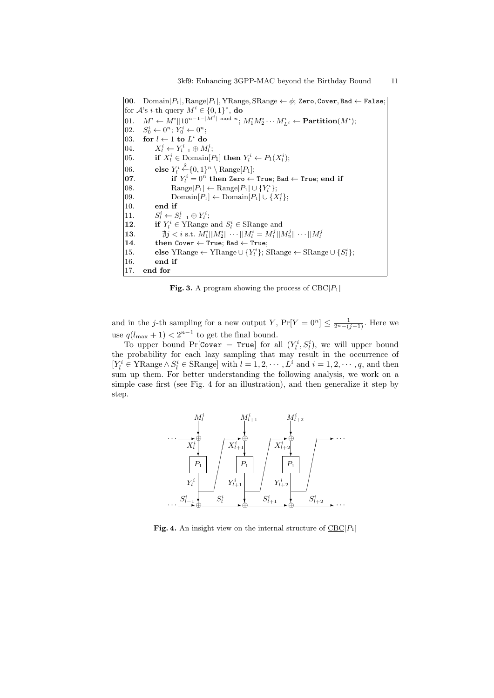**00**. Domain[*P*1]*,* Range[*P*1]*,* YRange*,* SRange *← ϕ*; Zero*,* Cover*,* Bad *←* False; for  $\mathcal{A}$ 's *i*-th query  $M^i \in \{0,1\}^*$ , **do** 01.  $M^i \leftarrow M^i ||10^{n-1-|M^i| \bmod n}; M_1^i M_2^i \cdots M_{L^i}^i \leftarrow \textbf{Partition}(M^i);$ 02. *S*  $y_0^i \leftarrow 0^n; Y_0^i \leftarrow 0^n;$ 03. **for**  $l \leftarrow 1$  **to**  $L^i$  **do** 04.  $X_l^i \leftarrow Y_{l-1}^i \oplus M_l^i;$ 05. **if**  $X_i^i \in \text{Domain}[P_1]$  then  $Y_i^i \leftarrow P_1(X_i^i);$ 06. **else**  $Y_i^i \stackrel{\$}{\leftarrow} \{0,1\}^n \setminus \text{Range}[P_1];$  $\mathbf{07}$ . **if**  $Y_l^i = 0^n$  then Zero  $\leftarrow$  True; Bad  $\leftarrow$  True; end if 08. Range[ $P_1$ ]  $\leftarrow$  Range[ $P_1$ ]  $\cup$  { $Y_l^i$ }; 09. Domain $[P_1] \leftarrow$  Domain $[P_1] \cup \{X_l^i\};$ 10. **end if** 11. *S*  $S_{l-1}^i \leftarrow S_{l-1}^i \oplus Y_l^i;$ **12**. **if**  $Y_i^i \in \text{YRange and } S_i^i \in \text{SRange and}$ **13**.  $\qquad \qquad \nexists j < i \text{ s.t. } M_1^i ||M_2^i || \cdots ||M_l^i = M_1^j ||M_2^j || \cdots ||M_l^j$ **14**. **then** Cover *←* True; Bad *←* True; 15. **else** YRange  $\leftarrow$  YRange  $\cup$  { $Y_i^i$ }; SRange  $\leftarrow$  SRange  $\cup$  { $S_i^i$ }; 16. **end if** 17. **end for**

**Fig. 3.** A program showing the process of  $CBC[P_1]$ 

and in the *j*-th sampling for a new output *Y*,  $Pr[Y = 0^n] \le \frac{1}{2^n - (j-1)}$ . Here we use  $q(l_{\text{max}} + 1) < 2^{n-1}$  to get the final bound.

To upper bound  $Pr[Cover = True]$  for all  $(Y_i^i, S_i^i)$ , we will upper bound the probability for each lazy sampling that may result in the occurrence of  $[Y_l^i \in \text{YRange} \land S_l^i \in \text{Skange}]$  with  $l = 1, 2, \dots, L^i$  and  $i = 1, 2, \dots, q$ , and then sum up them. For better understanding the following analysis, we work on a simple case first (see Fig. 4 for an illustration), and then generalize it step by step.



**Fig. 4.** An insight view on the internal structure of  $\text{CBC}[P_1]$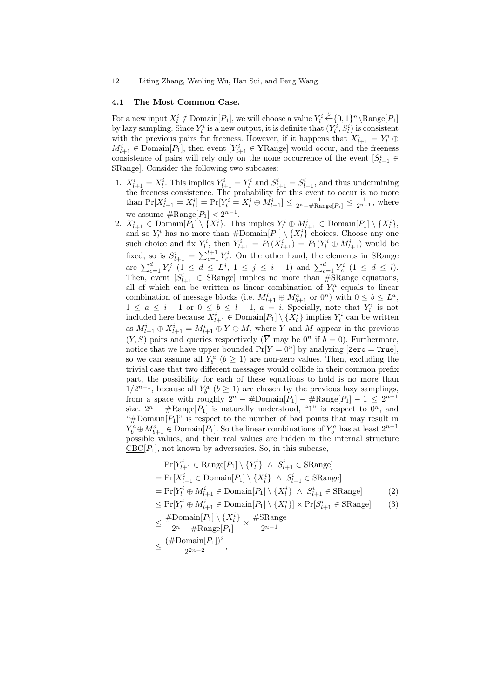#### **4.1 The Most Common Case.**

For a new input  $X^i_l \notin \text{Domain}[P_1]$ , we will choose a value  $Y^i_l$  $\overset{\$}{\leftarrow} \{0,1\}^n \backslash \text{Range}[P_1]$ by lazy sampling. Since  $Y_l^i$  is a new output, it is definite that  $(Y_l^i, S_l^i)$  is consistent with the previous pairs for freeness. However, if it happens that  $X_{l+1}^i = Y_l^i \oplus$  $M_{l+1}^i \in \text{Domain}[P_1]$ , then event  $[Y_{l+1}^i \in \text{YRange}]$  would occur, and the freeness consistence of pairs will rely only on the none occurrence of the event  $[S^i_{l+1} \in$ SRange]. Consider the following two subcases:

- 1.  $X_{l+1}^i = X_l^i$ . This implies  $Y_{l+1}^i = Y_l^i$  and  $S_{l+1}^i = S_{l-1}^i$ , and thus undermining the freeness consistence. The probability for this event to occur is no more than  $Pr[X_{l+1}^i = X_l^i] = Pr[Y_l^i = X_l^i \oplus M_{l+1}^i] \le \frac{1}{2^n - \# \text{Range}[P_1]} \le \frac{1}{2^{n-1}}$ , where we assume  $\#\text{Range}[P_1] < 2^{n-1}$ .
- 2.  $X_{l+1}^i \in \text{Domain}[P_1] \setminus \{X_l^i\}$ . This implies  $Y_l^i \oplus M_{l+1}^i \in \text{Domain}[P_1] \setminus \{X_l^i\}$ , and so  $Y_l^i$  has no more than  $\#\text{Domain}[P_1] \setminus \{X_l^i\}$  choices. Choose any one such choice and fix  $Y_l^i$ , then  $Y_{l+1}^i = P_1(X_{l+1}^i) = P_1(Y_l^i \oplus M_{l+1}^i)$  would be fixed, so is  $S_{l+1}^i = \sum_{c=1}^{l+1} Y_c^i$ . On the other hand, the elements in SRange are  $\sum_{c=1}^{d} Y_c^j$   $(1 \leq d \leq L^j, 1 \leq j \leq i-1)$  and  $\sum_{c=1}^{d} Y_c^i$   $(1 \leq d \leq l)$ . Then, event  $[S_{l+1}^i \in \text{SRange}]$  implies no more than  $\# \text{SRange}$  equations, all of which can be written as linear combination of  $Y_b^a$  equals to linear combination of message blocks (i.e.  $M_{l+1}^i \oplus M_{b+1}^a$  or  $0^n$ ) with  $0 \leq b \leq L^a$ ,  $1 \leq a \leq i-1$  or  $0 \leq b \leq l-1$ ,  $a = i$ . Specially, note that  $Y_l^i$  is not included here because  $X_{l+1}^i \in \text{Domain}[P_1] \setminus \{X_l^i\}$  implies  $Y_l^i$  can be written as  $M_{l+1}^i \oplus X_{l+1}^i = M_{l+1}^i \oplus \overline{Y} \oplus \overline{M}$ , where  $\overline{Y}$  and  $\overline{M}$  appear in the previous  $(Y, S)$  pairs and queries respectively  $(\overline{Y}$  may be  $0^n$  if  $b = 0$ ). Furthermore, notice that we have upper bounded  $Pr[Y = 0^n]$  by analyzing [Zero = True], so we can assume all  $Y_b^a$  ( $b \ge 1$ ) are non-zero values. Then, excluding the trivial case that two different messages would collide in their common prefix part, the possibility for each of these equations to hold is no more than 1/2<sup>*n*−1</sup>, because all  $Y_b^a$  (*b* ≥ 1) are chosen by the previous lazy samplings, from a space with roughly  $2^n - #Domain[P_1] - #Range[P_1] - 1 \leq 2^{n-1}$ size.  $2^n - \text{\#Range}[P_1]$  is naturally understood, "1" is respect to  $0^n$ , and " $\#$ Domain $[P_1]$ " is respect to the number of bad points that may result in  $Y_b^a \oplus M_{b+1}^a \in \text{Domain}[P_1]$ . So the linear combinations of  $Y_b^a$  has at least  $2^{n-1}$ possible values, and their real values are hidden in the internal structure  $CBC[P_1]$ , not known by adversaries. So, in this subcase,

$$
\Pr[Y_{l+1}^i \in \text{Range}[P_1] \setminus \{Y_l^i\} \land S_{l+1}^i \in \text{SRange}]
$$
\n
$$
= \Pr[X_{l+1}^i \in \text{Domain}[P_1] \setminus \{X_l^i\} \land S_{l+1}^i \in \text{SRange}]
$$
\n
$$
= \Pr[Y_l^i \oplus M_{l+1}^i \in \text{Domain}[P_1] \setminus \{X_l^i\} \land S_{l+1}^i \in \text{SRange}]
$$
\n
$$
\leq \Pr[Y_l^i \oplus M_{l+1}^i \in \text{Domain}[P_1] \setminus \{X_l^i\} \times \Pr[S_{l+1}^i \in \text{SRange}]
$$
\n
$$
\leq \frac{\# \text{Domain}[P_1] \setminus \{X_l^i\}}{2^n - \# \text{Range}[P_1]} \times \frac{\# \text{SRange}}{2^{n-1}}
$$
\n
$$
\leq \frac{(\# \text{Domain}[P_1])^2}{2^{2n-2}},
$$
\n(11)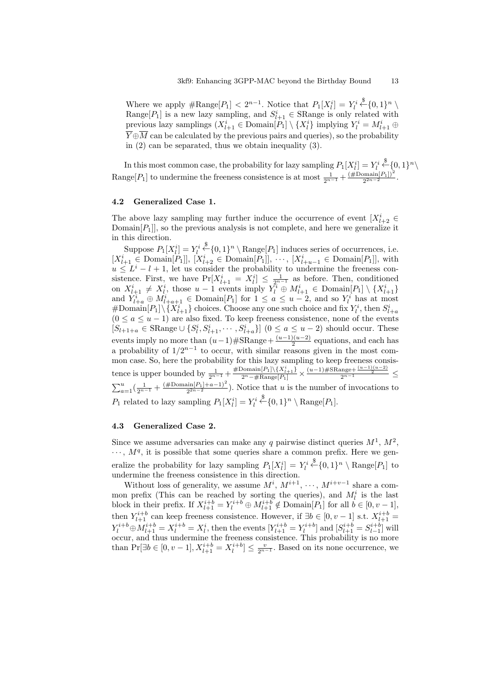Where we apply  $\#\text{Range}[P_1] < 2^{n-1}$ . Notice that  $P_1[X_i^i] = Y_i^i$  $\xleftarrow{\$} \{0,1\}^n \setminus$ Range $[P_1]$  is a new lazy sampling, and  $S_{l+1}^i \in \text{SRange}$  is only related with previous lazy samplings  $(X_{l+1}^i \in \text{Domain}[P_1] \setminus \{X_l^i\}$  implying  $Y_l^i = M_{l+1}^i \oplus$  $\overline{Y} \oplus \overline{M}$  can be calculated by the previous pairs and queries), so the probability in (2) can be separated, thus we obtain inequality (3).

In this most common case, the probability for lazy sampling  $P_1[X_l^i] = Y_l^i$  $\xleftarrow{\$} \{0,1\}^n \setminus$ Range[ $P_1$ ] to undermine the freeness consistence is at most  $\frac{1}{2^{n-1}} + \frac{(\# \text{Domain}[P_1])^2}{2^{2n-2}}$ .

#### **4.2 Generalized Case 1.**

The above lazy sampling may further induce the occurrence of event  $[X_{l+2}^i \in$ Domain $[P_1]$ , so the previous analysis is not complete, and here we generalize it in this direction.

Suppose  $P_1[X_i^i] = Y_i^i \stackrel{\$}{\leftarrow} \{0,1\}^n \setminus \text{Range}[P_1] \text{ induces series of occurrences, i.e.}$ Large  $X_{l+1}^i \in \text{Domain}[P_1]$ ,  $[X_{l+2}^i \in \text{Domain}[P_1]]$ ,  $\cdots$ ,  $[X_{l+u-1}^i \in \text{Domain}[P_1]]$ , with  $u \leq L^i - l + 1$ , let us consider the probability to undermine the freeness consistence. First, we have  $Pr[X_{l+1}^i = X_l^i] \leq \frac{1}{2^{n-1}}$  as before. Then, conditioned on  $X_{l+1}^i \neq X_l^i$ , those  $u-1$  events imply  $Y_l^i \oplus M_{l+1}^i \in \text{Domain}[P_1] \setminus \{X_{l+1}^i\}$ and  $Y_{l+a}^i \oplus M_{l+a+1}^i \in \text{Domain}[P_1]$  for  $1 \le a \le u-2$ , and so  $Y_l^i$  has at most  $\#$ Domain $[P_1] \setminus \{X_{l+1}^i\}$  choices. Choose any one such choice and fix  $Y_l^i$ , then  $S_{l+a}^i$  $(0 \le a \le u - 1)$  are also fixed. To keep freeness consistence, none of the events  $[S_{l+1+a} \in \text{SRange} \cup \{S_l^i, S_{l+1}^i, \cdots, S_{l+a}^i\}]$   $(0 \le a \le u-2)$  should occur. These events imply no more than  $(u-1)$   $\#$ SRange +  $\frac{(u-1)(u-2)}{2}$  equations, and each has a probability of  $1/2^{n-1}$  to occur, with similar reasons given in the most common case. So, here the probability for this lazy sampling to keep freeness consistence is upper bounded by  $\frac{1}{2^{n-1}} + \frac{\# \text{Domain}[P_1] \setminus \{X_{l+1}^i\}}{2^n - \# \text{Range}[P_1]} \times \frac{(u-1) \# \text{Range} + \frac{(u-1)(u-2)}{2}}{2^{n-1}} \le$  $\sum_{a=1}^{u}(\frac{1}{2^{n-1}}+\frac{(\# \text{Domain}[P_1]+a-1)^2}{2^{2n-2}})$ . Notice that *u* is the number of invocations to  $P_1$  related to lazy sampling  $P_1[X_l^i] = Y_l^i$  $\overset{\$}{\leftarrow} \{0,1\}^n \setminus \text{Range}[P_1].$ 

## **4.3 Generalized Case 2.**

Since we assume adversaries can make any  $q$  pairwise distinct queries  $M^1$ ,  $M^2$ ,  $\cdots$ ,  $M<sup>q</sup>$ , it is possible that some queries share a common prefix. Here we generalize the probability for lazy sampling  $P_1[X_i^i] = Y_i^i$  $\overset{\$}{\leftarrow} \{0,1\}^n \setminus \text{Range}[P_1]$  to undermine the freeness consistence in this direction.

Without loss of generality, we assume  $M^i$ ,  $M^{i+1}$ ,  $\cdots$ ,  $M^{i+v-1}$  share a common prefix (This can be reached by sorting the queries), and  $M_l^i$  is the last block in their prefix. If  $X_{l+1}^{i+b} = Y_l^{i+b} \oplus M_{l+1}^{i+b} \notin \text{Domain}[P_1]$  for all  $b \in [0, v-1]$ , then  $Y_{l+1}^{i+b}$  can keep freeness consistence. However, if  $\exists b \in [0, v-1]$  s.t.  $X_{l+1}^{i+b}$  $Y_l^{i+b} \oplus M_{l+1}^{i+b} = X_l^{i+b} = X_l^i$ , then the events  $[Y_{l+1}^{i+b} = Y_l^{i+b}]$  and  $[S_{l+1}^{i+b} = S_{l-1}^{i+b}]$  will occur, and thus undermine the freeness consistence. This probability is no more than  $Pr[\exists b \in [0, v − 1], X_{l+1}^{i+b} = X_l^{i+b}]$  ≤  $\frac{v}{2^{n-1}}$ . Based on its none occurrence, we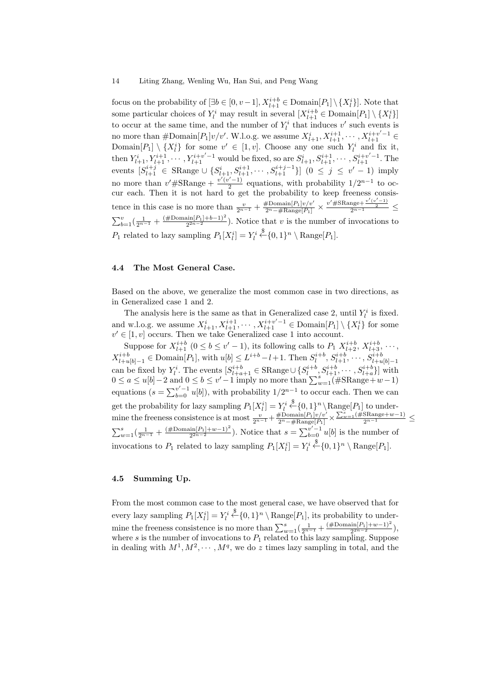focus on the probability of  $[\exists b \in [0, v-1], X_{l+1}^{i+b} \in \text{Domain}[P_1] \setminus \{X_l^i\}].$  Note that some particular choices of  $Y_l^i$  may result in several  $[X_{l+1}^{i+b} \in \text{Domain}[P_1] \setminus \{X_l^i\}$ to occur at the same time, and the number of  $Y_l^i$  that induces  $v'$  such events is no more than  $\#\text{Domain}[P_1]v/v'$ . W.l.o.g. we assume  $X_{l+1}^i, X_{l+1}^{i+1}, \cdots, X_{l+1}^{i+v'-1} \in$ Domain $[P_1] \setminus \{X_l^i\}$  for some  $v' \in [1, v]$ . Choose any one such  $Y_l^i$  and fix it, then  $Y_{l+1}^i, Y_{l+1}^{i+1}, \cdots, Y_{l+1}^{i+v'-1}$  would be fixed, so are  $S_{l+1}^i, S_{l+1}^{i+1}, \cdots, S_{l+1}^{i+v'-1}$ . The events  $[S_{l+1}^{i+j} \in \text{SRange} \cup \{S_{l+1}^{i}, S_{l+1}^{i+1}, \cdots, S_{l+1}^{i+j-1}\}]$   $(0 \leq j \leq v'-1)$  imply no more than  $v' \# \text{SRange} + \frac{v'(v'-1)}{2}$  $\frac{2^{n-1}}{2}$  equations, with probability  $1/2^{n-1}$  to occur each. Then it is not hard to get the probability to keep freeness consistence in this case is no more than  $\frac{v}{2^{n-1}} + \frac{\# \text{Domain}[P_1]v/v'}{2^n - \# \text{Range}[P_1]} \times \frac{v' \# \text{Range}v''(v'-1)}{2^{n-1}} \le$  $\sum_{b=1}^{v}(\frac{1}{2^{n-1}}+\frac{(\# \text{Domain}[P_1]+b-1)^2}{2^{2n-2}})$ . Notice that *v* is the number of invocations to  $P_1$  related to lazy sampling  $P_1[X_l^i] = Y_l^i$  $\overset{\$}{\leftarrow} \{0,1\}^n \setminus \text{Range}[P_1].$ 

## **4.4 The Most General Case.**

Based on the above, we generalize the most common case in two directions, as in Generalized case 1 and 2.

The analysis here is the same as that in Generalized case 2, until  $Y_l^i$  is fixed. and w.l.o.g. we assume  $X_{l+1}^i, X_{l+1}^{i+1}, \cdots, X_{l+1}^{i+v'-1} \in \text{Domain}[P_1] \setminus \{X_l^i\}$  for some  $v' \in [1, v]$  occurs. Then we take Generalized case 1 into account.

Suppose for  $X_{l+1}^{i+b}$   $(0 \le b \le v'-1)$ , its following calls to  $P_1$   $X_{l+2}^{i+b}$ ,  $X_{l+3}^{i+b}$ ,  $\cdots$ ,  $X_{l+u[b]-1}^{i+b} \in \text{Domain}[P_1]$ , with  $u[b] \leq L^{i+b}-l+1$ . Then  $S_l^{i+b}$ ,  $S_{l+1}^{i+b}$ ,  $\cdots$ ,  $S_{l+u[b]-1}^{i+b}$ can be fixed by  $Y_l^i$ . The events  $[S_{l+a+1}^{i+b} \in \text{SRange} \cup \{S_l^{i+b}, S_{l+1}^{i+b}, \cdots, S_{l+a}^{i+b}\}]$  with  $0 \le a \le u[b]-2$  and  $0 \le b \le v'-1$  imply no more than  $\sum_{w=1}^{s}$  (#SRange+*w*-1) equations  $(s = \sum_{b=0}^{v'-1} u[b]$ , with probability  $1/2^{n-1}$  to occur each. Then we can get the probability for lazy sampling  $P_1[X_l^i] = Y_l^i$  $\overset{\$}{\leftarrow} \{0,1\}^n \setminus \text{Range}[P_1]$  to undermine the freeness consistence is at most  $\frac{v}{2^{n-1}} + \frac{\# \text{Domain}[P_1]v/v'}{2^n - \# \text{Range}[P_1]} \times \frac{\sum_{w=1}^{s} (\# \text{Range} + w - 1)}{2^{n-1}} \le$  $\sum_{w=1}^{s}(\frac{1}{2^{n-1}}+\frac{(\# \text{Domain}[P_1]+\#v-1)^2}{2^{2n-2}})$ . Notice that  $s=\sum_{b=0}^{v'-1}u[b]$  is the number of invocations to  $P_1$  related to lazy sampling  $P_1[X_l^i] = Y_l^i$  $\overset{\$}{\leftarrow} \{0,1\}^n \setminus \text{Range}[P_1].$ 

## **4.5 Summing Up.**

From the most common case to the most general case, we have observed that for every lazy sampling  $P_1[X_l^i] = Y_l^i$  $\overset{\$}{\leftarrow} \{0,1\}^n \setminus \text{Range}[P_1]$ , its probability to undermine the freeness consistence is no more than  $\sum_{w=1}^{s} \left( \frac{1}{2^{n-1}} + \frac{(\# \text{Domain}[P_1] + w - 1)^2}{2^{2n-2}} \right)$ , where  $s$  is the number of invocations to  $P_1$  related to this lazy sampling. Suppose in dealing with  $M^1, M^2, \cdots, M^q$ , we do *z* times lazy sampling in total, and the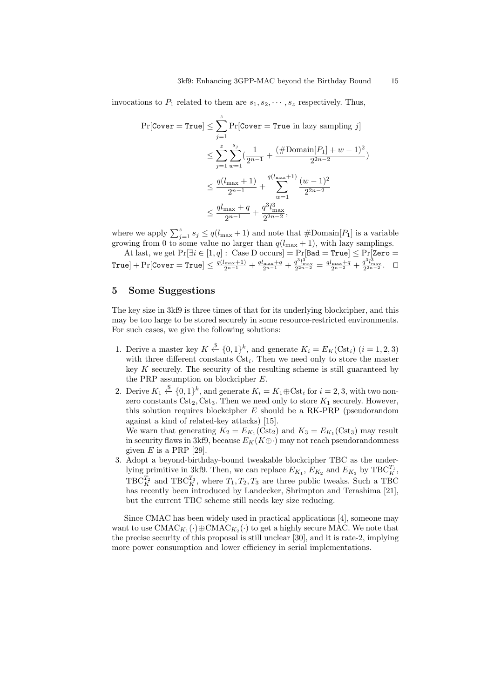invocations to  $P_1$  related to them are  $s_1, s_2, \dots, s_z$  respectively. Thus,

$$
\Pr[\text{Cover} = \text{True}] \le \sum_{j=1}^{z} \Pr[\text{Cover} = \text{True in lazy sampling } j] \n\le \sum_{j=1}^{z} \sum_{w=1}^{s_j} \left( \frac{1}{2^{n-1}} + \frac{(\# \text{Domain}[P_1] + w - 1)^2}{2^{2n-2}} \right) \n\le \frac{q(l_{\text{max}} + 1)}{2^{n-1}} + \sum_{w=1}^{q(l_{\text{max}} + 1)} \frac{(w - 1)^2}{2^{2n-2}} \n\le \frac{ql_{\text{max}} + q}{2^{n-1}} + \frac{q^3 l_{\text{max}}^3}{2^{2n-2}},
$$

where we apply  $\sum_{j=1}^{z} s_j \leq q(l_{\text{max}} + 1)$  and note that  $\#\text{Domain}[P_1]$  is a variable growing from 0 to some value no larger than  $q(l_{\text{max}} + 1)$ , with lazy samplings.

At last, we get  $Pr[\exists i \in [1, q]: \text{ Case D occurs}] = Pr[\text{Bad} = \text{True}] \le Pr[\text{Zero} =$  $\texttt{True}]+\Pr[\texttt{Cover}=\texttt{True}]\leq \frac{q(l_{\max}+1)}{2^{n-1}}+\frac{ql_{\max}+q}{2^{n-1}}+\frac{q^3l_{\max}^3}{2^{2n-2}}=\frac{ql_{\max}+q}{2^{n-2}}+\frac{q^3l_{\max}^3}{2^{2n-2}}.~~~\Box$ 

## **5 Some Suggestions**

The key size in 3kf9 is three times of that for its underlying blockcipher, and this may be too large to be stored securely in some resource-restricted environments. For such cases, we give the following solutions:

- 1. Derive a master key  $K \xleftarrow{\$} \{0,1\}^k$ , and generate  $K_i = E_K(\text{Cst}_i)$   $(i = 1, 2, 3)$ with three different constants  $\text{Cst}_i$ . Then we need only to store the master key *K* securely. The security of the resulting scheme is still guaranteed by the PRP assumption on blockcipher *E*.
- 2. Derive  $K_1 \stackrel{\$}{\leftarrow} \{0,1\}^k$ , and generate  $K_i = K_1 \oplus \text{Cst}_i$  for  $i = 2,3$ , with two nonzero constants  $\text{Cst}_2$ ,  $\text{Cst}_3$ . Then we need only to store  $K_1$  securely. However, this solution requires blockcipher *E* should be a RK-PRP (pseudorandom against a kind of related-key attacks) [15].

We warn that generating  $K_2 = E_{K_1}(\text{Cst}_2)$  and  $K_3 = E_{K_1}(\text{Cst}_3)$  may result in security flaws in 3kf9, because  $E_K(K\oplus \cdot)$  may not reach pseudorandomness given  $E$  is a PRP [29].

3. Adopt a beyond-birthday-bound tweakable blockcipher TBC as the underlying primitive in 3kf9. Then, we can replace  $E_{K_1}$ ,  $E_{K_2}$  and  $E_{K_3}$  by  $TBC_K^{T_1}$ ,  $TBC_K^{T_2}$  and  $TBC_K^{T_3}$ , where  $T_1, T_2, T_3$  are three public tweaks. Such a TBC has recently been introduced by Landecker, Shrimpton and Terashima [21], but the current TBC scheme still needs key size reducing.

Since CMAC has been widely used in practical applications [4], someone may want to use  $\text{CMAC}_{K_1}(\cdot) \oplus \text{CMAC}_{K_2}(\cdot)$  to get a highly secure MAC. We note that the precise security of this proposal is still unclear [30], and it is rate-2, implying more power consumption and lower efficiency in serial implementations.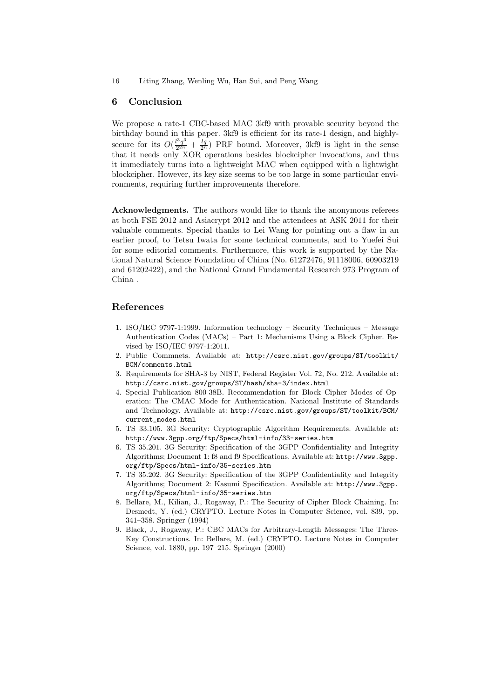## **6 Conclusion**

We propose a rate-1 CBC-based MAC 3kf9 with provable security beyond the birthday bound in this paper. 3kf9 is efficient for its rate-1 design, and highlysecure for its  $O(\frac{l^3 q^3}{2^{2n}})$  $\frac{l^3q^3}{2^{2n}} + \frac{lq}{2^n}$  PRF bound. Moreover, 3kf9 is light in the sense that it needs only XOR operations besides blockcipher invocations, and thus it immediately turns into a lightweight MAC when equipped with a lightwight blockcipher. However, its key size seems to be too large in some particular environments, requiring further improvements therefore.

**Acknowledgments.** The authors would like to thank the anonymous referees at both FSE 2012 and Asiacrypt 2012 and the attendees at ASK 2011 for their valuable comments. Special thanks to Lei Wang for pointing out a flaw in an earlier proof, to Tetsu Iwata for some technical comments, and to Yuefei Sui for some editorial comments. Furthermore, this work is supported by the National Natural Science Foundation of China (No. 61272476, 91118006, 60903219 and 61202422), and the National Grand Fundamental Research 973 Program of China .

## **References**

- 1. ISO/IEC 9797-1:1999. Information technology Security Techniques Message Authentication Codes (MACs) – Part 1: Mechanisms Using a Block Cipher. Revised by ISO/IEC 9797-1:2011.
- 2. Public Commnets. Available at: http://csrc.nist.gov/groups/ST/toolkit/ BCM/comments.html
- 3. Requirements for SHA-3 by NIST, Federal Register Vol. 72, No. 212. Available at: http://csrc.nist.gov/groups/ST/hash/sha-3/index.html
- 4. Special Publication 800-38B. Recommendation for Block Cipher Modes of Operation: The CMAC Mode for Authentication. National Institute of Standards and Technology. Available at: http://csrc.nist.gov/groups/ST/toolkit/BCM/ current\_modes.html
- 5. TS 33.105. 3G Security: Cryptographic Algorithm Requirements. Available at: http://www.3gpp.org/ftp/Specs/html-info/33-series.htm
- 6. TS 35.201. 3G Security: Specification of the 3GPP Confidentiality and Integrity Algorithms; Document 1: f8 and f9 Specifications. Available at: http://www.3gpp. org/ftp/Specs/html-info/35-series.htm
- 7. TS 35.202. 3G Security: Specification of the 3GPP Confidentiality and Integrity Algorithms; Document 2: Kasumi Specification. Available at: http://www.3gpp. org/ftp/Specs/html-info/35-series.htm
- 8. Bellare, M., Kilian, J., Rogaway, P.: The Security of Cipher Block Chaining. In: Desmedt, Y. (ed.) CRYPTO. Lecture Notes in Computer Science, vol. 839, pp. 341–358. Springer (1994)
- 9. Black, J., Rogaway, P.: CBC MACs for Arbitrary-Length Messages: The Three-Key Constructions. In: Bellare, M. (ed.) CRYPTO. Lecture Notes in Computer Science, vol. 1880, pp. 197–215. Springer (2000)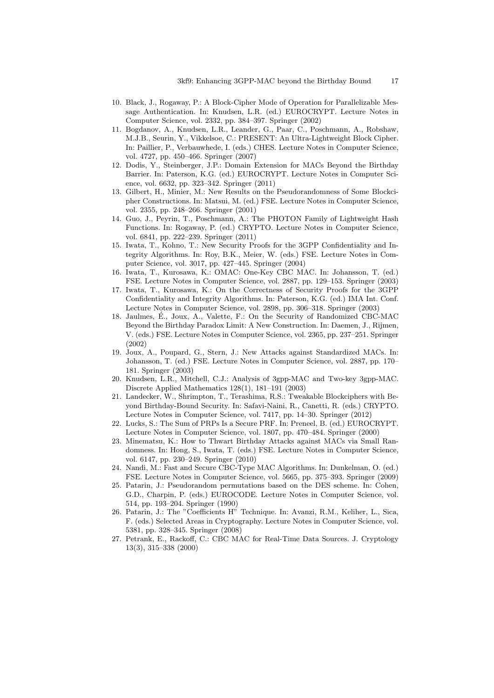- 10. Black, J., Rogaway, P.: A Block-Cipher Mode of Operation for Parallelizable Message Authentication. In: Knudsen, L.R. (ed.) EUROCRYPT. Lecture Notes in Computer Science, vol. 2332, pp. 384–397. Springer (2002)
- 11. Bogdanov, A., Knudsen, L.R., Leander, G., Paar, C., Poschmann, A., Robshaw, M.J.B., Seurin, Y., Vikkelsoe, C.: PRESENT: An Ultra-Lightweight Block Cipher. In: Paillier, P., Verbauwhede, I. (eds.) CHES. Lecture Notes in Computer Science, vol. 4727, pp. 450–466. Springer (2007)
- 12. Dodis, Y., Steinberger, J.P.: Domain Extension for MACs Beyond the Birthday Barrier. In: Paterson, K.G. (ed.) EUROCRYPT. Lecture Notes in Computer Science, vol. 6632, pp. 323–342. Springer (2011)
- 13. Gilbert, H., Minier, M.: New Results on the Pseudorandomness of Some Blockcipher Constructions. In: Matsui, M. (ed.) FSE. Lecture Notes in Computer Science, vol. 2355, pp. 248–266. Springer (2001)
- 14. Guo, J., Peyrin, T., Poschmann, A.: The PHOTON Family of Lightweight Hash Functions. In: Rogaway, P. (ed.) CRYPTO. Lecture Notes in Computer Science, vol. 6841, pp. 222–239. Springer (2011)
- 15. Iwata, T., Kohno, T.: New Security Proofs for the 3GPP Confidentiality and Integrity Algorithms. In: Roy, B.K., Meier, W. (eds.) FSE. Lecture Notes in Computer Science, vol. 3017, pp. 427–445. Springer (2004)
- 16. Iwata, T., Kurosawa, K.: OMAC: One-Key CBC MAC. In: Johansson, T. (ed.) FSE. Lecture Notes in Computer Science, vol. 2887, pp. 129–153. Springer (2003)
- 17. Iwata, T., Kurosawa, K.: On the Correctness of Security Proofs for the 3GPP Confidentiality and Integrity Algorithms. In: Paterson, K.G. (ed.) IMA Int. Conf. Lecture Notes in Computer Science, vol. 2898, pp. 306–318. Springer (2003)
- 18. Jaulmes, E., Joux, A., Valette, F.: On the Security of Randomized CBC-MAC ´ Beyond the Birthday Paradox Limit: A New Construction. In: Daemen, J., Rijmen, V. (eds.) FSE. Lecture Notes in Computer Science, vol. 2365, pp. 237–251. Springer (2002)
- 19. Joux, A., Poupard, G., Stern, J.: New Attacks against Standardized MACs. In: Johansson, T. (ed.) FSE. Lecture Notes in Computer Science, vol. 2887, pp. 170– 181. Springer (2003)
- 20. Knudsen, L.R., Mitchell, C.J.: Analysis of 3gpp-MAC and Two-key 3gpp-MAC. Discrete Applied Mathematics 128(1), 181–191 (2003)
- 21. Landecker, W., Shrimpton, T., Terashima, R.S.: Tweakable Blockciphers with Beyond Birthday-Bound Security. In: Safavi-Naini, R., Canetti, R. (eds.) CRYPTO. Lecture Notes in Computer Science, vol. 7417, pp. 14–30. Springer (2012)
- 22. Lucks, S.: The Sum of PRPs Is a Secure PRF. In: Preneel, B. (ed.) EUROCRYPT. Lecture Notes in Computer Science, vol. 1807, pp. 470–484. Springer (2000)
- 23. Minematsu, K.: How to Thwart Birthday Attacks against MACs via Small Randomness. In: Hong, S., Iwata, T. (eds.) FSE. Lecture Notes in Computer Science, vol. 6147, pp. 230–249. Springer (2010)
- 24. Nandi, M.: Fast and Secure CBC-Type MAC Algorithms. In: Dunkelman, O. (ed.) FSE. Lecture Notes in Computer Science, vol. 5665, pp. 375–393. Springer (2009)
- 25. Patarin, J.: Pseudorandom permutations based on the DES scheme. In: Cohen, G.D., Charpin, P. (eds.) EUROCODE. Lecture Notes in Computer Science, vol. 514, pp. 193–204. Springer (1990)
- 26. Patarin, J.: The "Coefficients H" Technique. In: Avanzi, R.M., Keliher, L., Sica, F. (eds.) Selected Areas in Cryptography. Lecture Notes in Computer Science, vol. 5381, pp. 328–345. Springer (2008)
- 27. Petrank, E., Rackoff, C.: CBC MAC for Real-Time Data Sources. J. Cryptology 13(3), 315–338 (2000)